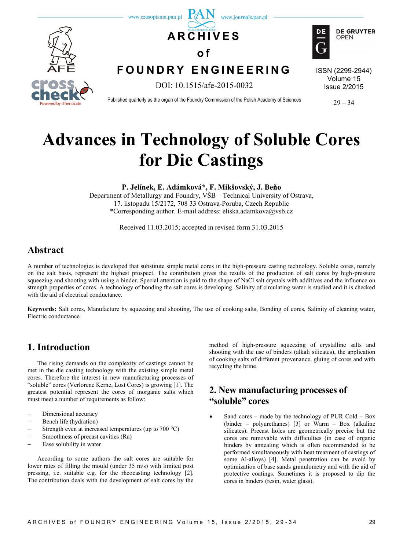

# **Advances in Technology of Soluble Cores for Die Castings**

**P. Jelínek, E. Adámková\*, F. Mikšovský, J. Beňo**

Department of Metallurgy and Foundry, VŠB – Technical University of Ostrava, 17. listopadu 15/2172, 708 33 Ostrava-Poruba, Czech Republic \*Corresponding author. E-mail address: eliska.adamkova@vsb.cz

Received 11.03.2015; accepted in revised form 31.03.2015

# **Abstract**

A number of technologies is developed that substitute simple metal cores in the high-pressure casting technology. Soluble cores, namely on the salt basis, represent the highest prospect. The contribution gives the results of the production of salt cores by high-pressure squeezing and shooting with using a binder. Special attention is paid to the shape of NaCl salt crystals with additives and the influence on strength properties of cores. A technology of bonding the salt cores is developing. Salinity of circulating water is studied and it is checked with the aid of electrical conductance.

**Keywords:** Salt cores, Manufacture by squeezing and shooting, The use of cooking salts, Bonding of cores, Salinity of cleaning water, Electric conductance

# **1. Introduction**

The rising demands on the complexity of castings cannot be met in the die casting technology with the existing simple metal cores. Therefore the interest in new manufacturing processes of "soluble" cores (Verlorene Kerne, Lost Cores) is growing [1]. The greatest potential represent the cores of inorganic salts which must meet a number of requirements as follow:

- Dimensional accuracy
- Bench life (hydration)
- Strength even at increased temperatures (up to 700 °C)
- Smoothness of precast cavities (Ra)
- Ease solubility in water

According to some authors the salt cores are suitable for lower rates of filling the mould (under 35 m/s) with limited post pressing, i.e. suitable e.g. for the rheocasting technology [2]. The contribution deals with the development of salt cores by the

method of high-pressure squeezing of crystalline salts and shooting with the use of binders (alkali silicates), the application of cooking salts of different provenance, gluing of cores and with recycling the brine.

# **2. New manufacturing processes of "soluble" cores**

 Sand cores – made by the technology of PUR Cold – Box (binder – polyurethanes) [3] or Warm – Box (alkaline silicates). Precast holes are geometrically precise but the cores are removable with difficulties (in case of organic binders by annealing which is often recommended to be performed simultaneously with heat treatment of castings of some Al-alloys) [4]. Metal penetration can be avoid by optimization of base sands granulometry and with the aid of protective coatings. Sometimes it is proposed to dip the cores in binders (resin, water glass).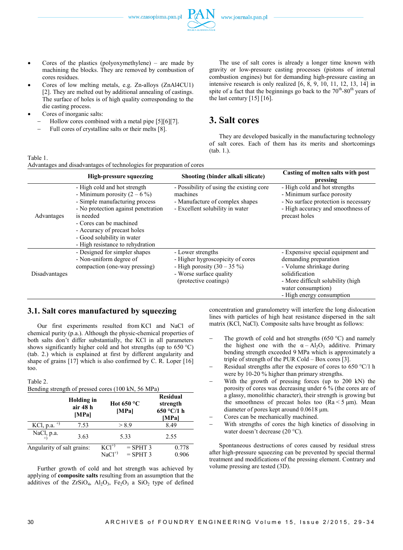www.czasopisma.pan.pl



- Cores of the plastics (polyoxymethylene) are made by machining the blocks. They are removed by combustion of cores residues.
- Cores of low melting metals, e.g. Zn-alloys (ZnAl4CU1) [2]. They are melted out by additional annealing of castings. The surface of holes is of high quality corresponding to the die casting process.
- Cores of inorganic salts:
	- Hollow cores combined with a metal pipe [5][6][7].
	- Full cores of crystalline salts or their melts [8].

The use of salt cores is already a longer time known with gravity or low-pressure casting processes (pistons of internal combustion engines) but for demanding high-pressure casting an intensive research is only realized [6, 8, 9, 10, 11, 12, 13, 14] in spite of a fact that the beginnings go back to the  $70<sup>th</sup>$ -80<sup>th</sup> years of the last century  $[15] [16]$ .

### **3. Salt cores**

They are developed basically in the manufacturing technology of salt cores. Each of them has its merits and shortcomings (tab. 1.).

| `able<br>ı |
|------------|
|------------|

|               | <b>High-pressure squeezing</b>                                                                                                                                                                                                                                                   | Shooting (binder alkali silicate)                                                                                                          | Casting of molten salts with post<br>pressing                                                                                                                                                     |
|---------------|----------------------------------------------------------------------------------------------------------------------------------------------------------------------------------------------------------------------------------------------------------------------------------|--------------------------------------------------------------------------------------------------------------------------------------------|---------------------------------------------------------------------------------------------------------------------------------------------------------------------------------------------------|
| Advantages    | - High cold and hot strength<br>- Minimum porosity $(2 - 6\%)$<br>- Simple manufacturing process<br>- No protection against penetration<br>is needed<br>- Cores can be machined<br>- Accuracy of precast holes<br>- Good solubility in water<br>- High resistance to rehydration | - Possibility of using the existing core<br>machines<br>- Manufacture of complex shapes<br>- Excellent solubility in water                 | - High cold and hot strengths<br>- Minimum surface porosity<br>- No surface protection is necessary<br>- High accuracy and smoothness of<br>precast holes                                         |
| Disadvantages | - Designed for simpler shapes<br>- Non-uniform degree of<br>compaction (one-way pressing)                                                                                                                                                                                        | - Lower strengths<br>- Higher hygroscopicity of cores<br>- High porosity $(30 - 35\%)$<br>- Worse surface quality<br>(protective coatings) | - Expensive special equipment and<br>demanding preparation<br>- Volume shrinkage during<br>solidification<br>- More difficult solubility (high<br>water consumption)<br>- High energy consumption |

#### **3.1. Salt cores manufactured by squeezing**

Our first experiments resulted from KCl and NaCl of chemical purity (p.a.). Although the physic-chemical properties of both salts don't differ substantially, the KCl in all parameters shows significantly higher cold and hot strengths (up to 650 °C) (tab. 2.) which is explained at first by different angularity and shape of grains [17] which is also confirmed by C. R. Loper [16] too.

| Table 2.<br>Bending strength of pressed cores (100 kN, 56 MPa) |                                        |                                |                               |                                                    |
|----------------------------------------------------------------|----------------------------------------|--------------------------------|-------------------------------|----------------------------------------------------|
|                                                                | <b>Holding</b> in<br>air 48 h<br>[MPa] |                                | Hot 650 $^{\circ}$ C<br>[MPa] | <b>Residual</b><br>strength<br>650 °C/1 h<br>[MPa] |
| KCl, p.a. $^{+)}$                                              | 7.53                                   |                                | > 8.9                         | 8.49                                               |
| NaCl <sub>2</sub> p.a.                                         | 3.63                                   |                                | 5.33                          | 2.55                                               |
| Angularity of salt grains:                                     |                                        | $KC^{\overline{1}}$<br>$NaCl+$ | $=$ SPHT 3<br>$=$ SPHT 3      | 0.778<br>0.906                                     |

Further growth of cold and hot strength was achieved by applying of **composite salts** resulting from an assumption that the additives of the  $ZrSiO_4$ ,  $Al_2O_3$ ,  $Fe_2O_3$  a  $SiO_2$  type of defined concentration and granulometry will interfere the long dislocation lines with particles of high heat resistance dispersed in the salt matrix (KCl, NaCl). Composite salts have brought as follows:

- The growth of cold and hot strengths (650  $\degree$ C) and namely the highest one with the  $\alpha - Al_2O_3$  additive. Primary bending strength exceeded 9 MPa which is approximately a triple of strength of the PUR Cold – Box cores [3].
- Residual strengths after the exposure of cores to 650 °C/1 h were by 10-20 % higher than primary strengths.
- With the growth of pressing forces (up to 200 kN) the porosity of cores was decreasing under 6 % (the cores are of a glassy, monolithic character), their strength is growing but the smoothness of precast holes too ( $Ra < 5 \mu m$ ). Mean diameter of pores kept around 0.0618 μm.
- Cores can be mechanically machined.
- With strengths of cores the high kinetics of dissolving in water doesn't decrease (20 °C).

Spontaneous destructions of cores caused by residual stress after high-pressure squeezing can be prevented by special thermal treatment and modifications of the pressing element. Contrary and volume pressing are tested (3D).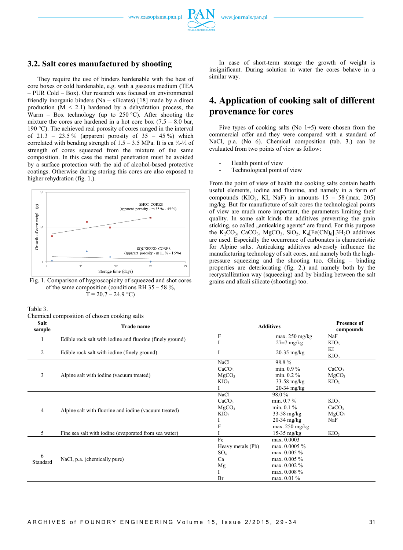www.czasopisma.pan.pl

#### **3.2. Salt cores manufactured by shooting**

They require the use of binders hardenable with the heat of core boxes or cold hardenable, e.g. with a gaseous medium (TEA – PUR Cold – Box). Our research was focused on environmental friendly inorganic binders (Na – silicates) [18] made by a direct production  $(M < 2.1)$  hardened by a dehydration process, the Warm – Box technology (up to 250 °C). After shooting the mixture the cores are hardened in a hot core box  $(7.5 - 8.0)$  bar, 190 °C). The achieved real porosity of cores ranged in the interval of 21.3 – 23.5 % (apparent porosity of  $35 - 45$  %) which correlated with bending strength of 1.5 – 3.5 MPa. It is ca ¼-½ of strength of cores squeezed from the mixture of the same composition. In this case the metal penetration must be avoided by a surface protection with the aid of alcohol-based protective coatings. Otherwise during storing this cores are also exposed to higher rehydration (fig. 1.).



Fig. 1. Comparison of hygroscopicity of squeezed and shot cores of the same composition (conditions RH  $35 - 58 \%$ ,  $T = 20.7 - 24.9$  °C)

Table 3.

Chemical composition of chosen cooking salts

In case of short-term storage the growth of weight is insignificant. During solution in water the cores behave in a similar way.

# **4. Application of cooking salt of different provenance for cores**

Five types of cooking salts (No  $1\div 5$ ) were chosen from the commercial offer and they were compared with a standard of NaCl, p.a. (No 6). Chemical composition (tab. 3.) can be evaluated from two points of view as follow:

- Health point of view
- Technological point of view

From the point of view of health the cooking salts contain health useful elements, iodine and fluorine, and namely in a form of compounds (KIO<sub>3</sub>, KI, NaF) in amounts  $15 - 58$  (max. 205) mg/kg. But for manufacture of salt cores the technological points of view are much more important, the parameters limiting their quality. In some salt kinds the additives preventing the grain sticking, so called "anticaking agents" are found. For this purpose the  $K_2CO_3$ , CaCO<sub>3</sub>, MgCO<sub>3</sub>, SiO<sub>2</sub>, K<sub>4</sub>[Fe(CN)<sub>6</sub>].3H<sub>2</sub>O additives are used. Especially the occurrence of carbonates is characteristic for Alpine salts. Anticaking additives adversely influence the manufacturing technology of salt cores, and namely both the highpressure squeezing and the shooting too. Gluing – binding properties are deteriorating (fig. 2.) and namely both by the recrystallization way (squeezing) and by binding between the salt grains and alkali silicate (shooting) too.

| Salt<br>sample | <u>ennear</u> composition or enosen cooming sants<br>Trade name |                   | <b>Additives</b>         | <b>Presence of</b><br>compounds |
|----------------|-----------------------------------------------------------------|-------------------|--------------------------|---------------------------------|
|                |                                                                 | F                 | max. $250$ mg/kg         | NaF                             |
|                | Edible rock salt with iodine and fluorine (finely ground)       |                   | $27\pm7$ mg/kg           | KIO <sub>3</sub>                |
| 2              | Edible rock salt with iodine (finely ground)                    |                   | $20-35$ mg/kg            | KI<br>KIO <sub>3</sub>          |
|                |                                                                 | <b>NaCl</b>       | 98.8%                    |                                 |
|                |                                                                 | CaCO <sub>3</sub> | min. $0.9\%$             | CaCO <sub>3</sub>               |
| 3              | Alpine salt with iodine (vacuum treated)                        | MgCO <sub>3</sub> | min. $0.2 \%$            | MgCO <sub>3</sub>               |
|                |                                                                 | KIO <sub>3</sub>  | $33-58$ mg/kg            | KIO <sub>3</sub>                |
|                |                                                                 |                   | $20-34$ mg/kg            |                                 |
|                | Alpine salt with fluorine and iodine (vacuum treated)           | <b>NaCl</b>       | 98.0%                    |                                 |
|                |                                                                 | CaCO <sub>3</sub> | min. $0.7\%$             | KIO <sub>3</sub>                |
| $\overline{4}$ |                                                                 | MgCO <sub>3</sub> | min. $0.1\%$             | CaCO <sub>3</sub>               |
|                |                                                                 | KIO <sub>3</sub>  | $33-58$ mg/kg            | MgCO <sub>3</sub>               |
|                |                                                                 |                   | $20-34$ mg/kg            | NaF                             |
|                |                                                                 |                   | max. $250 \text{ mg/kg}$ |                                 |
| 5              | Fine sea salt with iodine (evaporated from sea water)           |                   | $15-35$ mg/kg            | KIO <sub>3</sub>                |
|                | NaCl, p.a. (chemically pure)                                    | Fe                | max. 0.0003              |                                 |
| 6<br>Standard  |                                                                 | Heavy metals (Pb) | max. 0.0005 %            |                                 |
|                |                                                                 | SO <sub>4</sub>   | max. 0.005 %             |                                 |
|                |                                                                 | Ca                | max. $0.005 \%$          |                                 |
|                |                                                                 | Mg                | max. 0.002 %             |                                 |
|                |                                                                 |                   | max. 0.008 %             |                                 |
|                |                                                                 | Br                | max. 0.01 %              |                                 |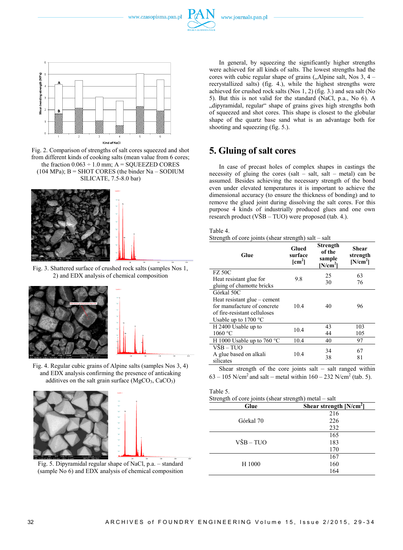www.czasopisma.pan.pl

www.journals.pan.pl



Fig. 2. Comparison of strengths of salt cores squeezed and shot from different kinds of cooking salts (mean value from 6 cores; the fraction  $0.063 \div 1.0$  mm; A = SQUEEZED CORES  $(104 MPa)$ ; B = SHOT CORES (the binder Na – SODIUM SILICATE, 7.5-8.0 bar)



Fig. 3. Shattered surface of crushed rock salts (samples Nos 1, 2) and EDX analysis of chemical composition



Fig. 4. Regular cubic grains of Alpine salts (samples Nos 3, 4) and EDX analysis confirming the presence of anticaking additives on the salt grain surface  $(MgCO<sub>3</sub>, CaCO<sub>3</sub>)$ 



Fig. 5. Dipyramidal regular shape of NaCl, p.a. – standard (sample No 6) and EDX analysis of chemical composition

In general, by squeezing the significantly higher strengths were achieved for all kinds of salts. The lowest strengths had the cores with cubic regular shape of grains  $($ "Alpine salt, Nos 3, 4 – recrystallized salts) (fig. 4.), while the highest strengths were achieved for crushed rock salts (Nos 1, 2) (fig. 3.) and sea salt (No 5). But this is not valid for the standard (NaCl, p.a., No 6). A "dipyramidal, regular" shape of grains gives high strengths both of squeezed and shot cores. This shape is closest to the globular shape of the quartz base sand what is an advantage both for shooting and squeezing (fig. 5.).

# **5. Gluing of salt cores**

In case of precast holes of complex shapes in castings the necessity of gluing the cores (salt – salt, salt – metal) can be assumed. Besides achieving the necessary strength of the bond even under elevated temperatures it is important to achieve the dimensional accuracy (to ensure the thickness of bonding) and to remove the glued joint during dissolving the salt cores. For this purpose 4 kinds of industrially produced glues and one own research product (VŠB – TUO) were proposed (tab. 4.).

#### Table 4.

Strength of core joints (shear strength) salt – salt

| Glue                                                                                                                  | Glued<br>surface<br>$[cm^2]$ | Strength<br>of the<br>sample<br>[N/cm <sup>2</sup> ] | Shear<br>strength<br>[N/cm <sup>2</sup> ] |
|-----------------------------------------------------------------------------------------------------------------------|------------------------------|------------------------------------------------------|-------------------------------------------|
| <b>FZ 50C</b><br>Heat resistant glue for                                                                              | 9.8                          | 25<br>30                                             | 63<br>76                                  |
| gluing of chamotte bricks<br>Górkal 50C                                                                               |                              |                                                      |                                           |
| Heat resistant glue – cement<br>for manufacture of concrete<br>of fire-resistant celluloses<br>Usable up to $1700 °C$ | 104                          | 40                                                   | 96                                        |
| H 2400 Usable up to                                                                                                   | 10.4                         | 43                                                   | 103                                       |
| 1060 °C<br>H 1000 Usable up to 760 $^{\circ}$ C                                                                       | 10.4                         | 44<br>40                                             | 105<br>97                                 |
| VŠB – TUO<br>A glue based on alkali<br>silicates                                                                      | 10.4                         | 34<br>38                                             | 67<br>81                                  |

Shear strength of the core joints salt – salt ranged within  $63 - 105$  N/cm<sup>2</sup> and salt – metal within  $160 - 232$  N/cm<sup>2</sup> (tab. 5).

#### Table 5. Strength of core joints (shear strength) metal – salt

| Glue      | Shear strength $[N/cm^2]$ |
|-----------|---------------------------|
|           | 216                       |
| Górkal 70 | 226                       |
|           | 232                       |
|           | 165                       |
| VŠB-TUO   | 183                       |
|           | 170                       |
| H 1000    | 167                       |
|           | 160                       |
|           | 164                       |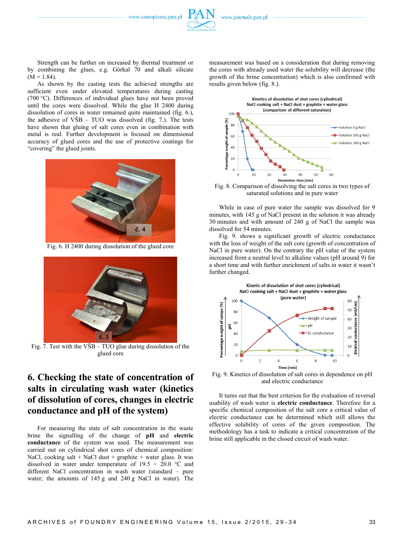

Strength can be further on increased by thermal treatment or by combining the glues, e.g. Górkal 70 and alkali silicate  $(M = 1.84)$ .

As shown by the casting tests the achieved strengths are sufficient even under elevated temperatures during casting (700 °C). Differences of individual glues have not been proved until the cores were dissolved. While the glue H 2400 during dissolution of cores in water remained quite maintained (fig. 6.), the adhesive of  $VSB - TUO$  was dissolved (fig. 7.). The tests have shown that gluing of salt cores even in combination with metal is real. Further development is focused on dimensional accuracy of glued cores and the use of protective coatings for "covering" the glued joints.



Fig. 6. H 2400 during dissolution of the glued core



Fig. 7. Test with the VŠB – TUO glue during dissolution of the glued core

# **6. Checking the state of concentration of salts in circulating wash water (kinetics of dissolution of cores, changes in electric conductance and pH of the system)**

For measuring the state of salt concentration in the waste brine the signalling of the change of **pH** and **electric conductance** of the system was used. The measurement was carried out on cylindrical shot cores of chemical composition: NaCl, cooking salt + NaCl dust + graphite + water glass. It was dissolved in water under temperature of  $19.5 \div 20.0$  °C and different NaCl concentration in wash water (standard – pure water; the amounts of 145 g and 240 g NaCl in water). The measurement was based on a consideration that during removing the cores with already used water the solubility will decrease (the growth of the brine concentration) which is also confirmed with results given below (fig. 8.).



Fig. 8. Comparison of dissolving the salt cores in two types of saturated solutions and in pure water

While in case of pure water the sample was dissolved for 9 minutes, with 145 g of NaCl present in the solution it was already 30 minutes and with amount of 240 g of NaCl the sample was dissolved for 54 minutes.

Fig. 9. shows a significant growth of electric conductance with the loss of weight of the salt core (growth of concentration of NaCl in pure water). On the contrary the pH value of the system increased from a neutral level to alkaline values (pH around 9) for a short time and with further enrichment of salts in water it wasn't further changed.



Fig. 9. Kinetics of dissolution of salt cores in dependence on pH and electric conductance

It turns out that the best criterion for the evaluation of reversal usability of wash water is **electric conductance**. Therefore for a specific chemical composition of the salt core a critical value of electric conductance can be determined which still allows the effective solubility of cores of the given composition. The methodology has a task to indicate a critical concentration of the brine still applicable in the closed circuit of wash water.